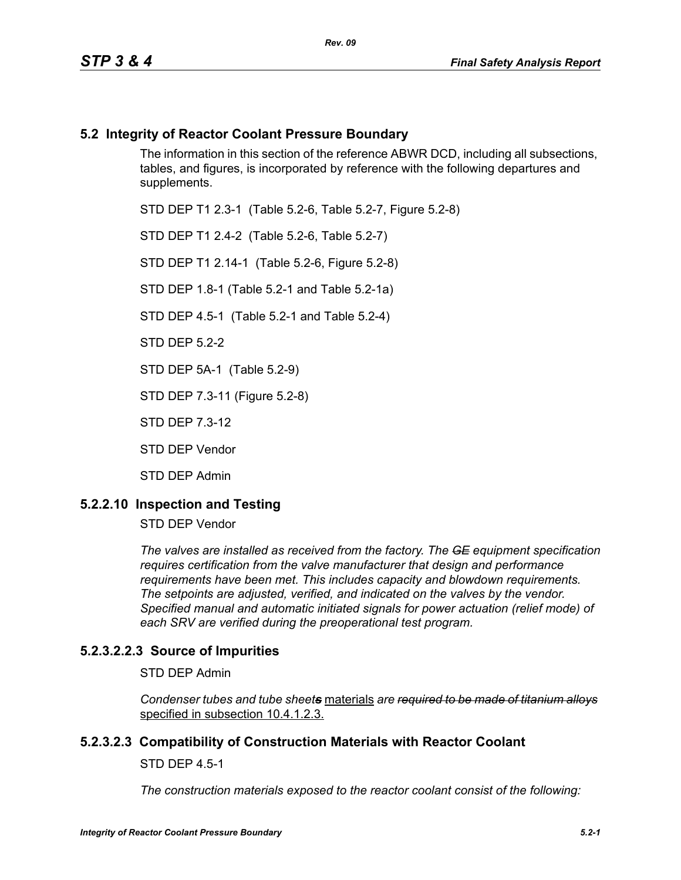### **5.2 Integrity of Reactor Coolant Pressure Boundary**

The information in this section of the reference ABWR DCD, including all subsections, tables, and figures, is incorporated by reference with the following departures and supplements.

STD DEP T1 2.3-1 (Table 5.2-6, Table 5.2-7, Figure 5.2-8)

STD DEP T1 2.4-2 (Table 5.2-6, Table 5.2-7)

STD DEP T1 2.14-1 (Table 5.2-6, Figure 5.2-8)

STD DEP 1.8-1 (Table 5.2-1 and Table 5.2-1a)

STD DEP 4.5-1 (Table 5.2-1 and Table 5.2-4)

STD DEP 5.2-2

STD DEP 5A-1 (Table 5.2-9)

STD DEP 7.3-11 (Figure 5.2-8)

STD DEP 7.3-12

STD DEP Vendor

STD DEP Admin

### **5.2.2.10 Inspection and Testing**

STD DEP Vendor

*The valves are installed as received from the factory. The GE equipment specification requires certification from the valve manufacturer that design and performance requirements have been met. This includes capacity and blowdown requirements. The setpoints are adjusted, verified, and indicated on the valves by the vendor. Specified manual and automatic initiated signals for power actuation (relief mode) of each SRV are verified during the preoperational test program.*

### **5.2.3.2.2.3 Source of Impurities**

STD DEP Admin

*Condenser tubes and tube sheets* materials *are required to be made of titanium alloys* specified in subsection 10.4.1.2.3.

### **5.2.3.2.3 Compatibility of Construction Materials with Reactor Coolant**

STD DEP 4.5-1

*The construction materials exposed to the reactor coolant consist of the following:*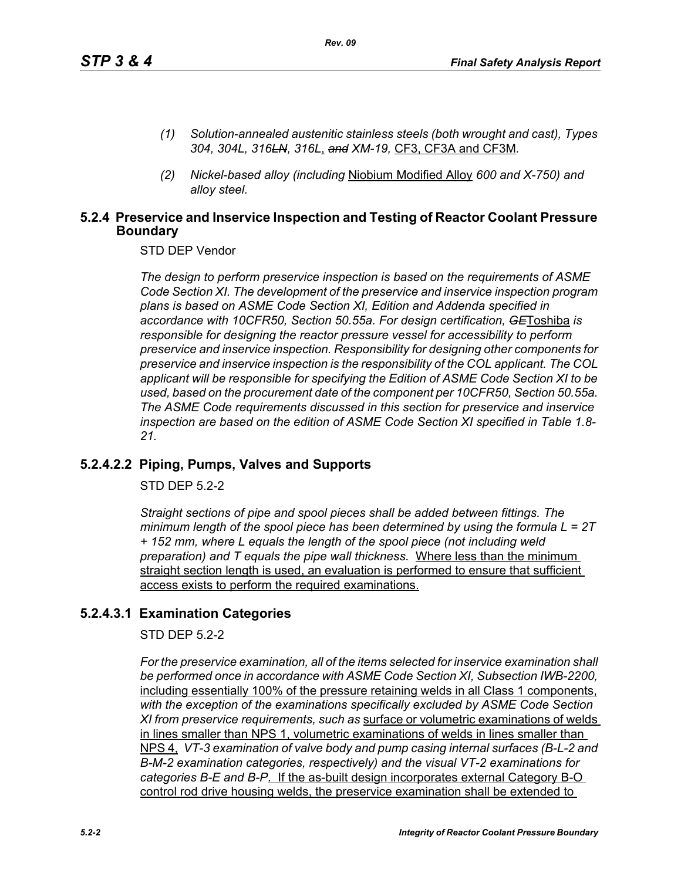- *(1) Solution-annealed austenitic stainless steels (both wrought and cast), Types 304, 304L, 316LN, 316L*, *and XM-19,* CF3, CF3A and CF3M*.*
- *(2) Nickel-based alloy (including* Niobium Modified Alloy *600 and X-750) and alloy steel.*

### **5.2.4 Preservice and Inservice Inspection and Testing of Reactor Coolant Pressure Boundary**

STD DEP Vendor

*The design to perform preservice inspection is based on the requirements of ASME Code Section XI. The development of the preservice and inservice inspection program plans is based on ASME Code Section XI, Edition and Addenda specified in accordance with 10CFR50, Section 50.55a. For design certification, GE*Toshiba *is responsible for designing the reactor pressure vessel for accessibility to perform preservice and inservice inspection. Responsibility for designing other components for preservice and inservice inspection is the responsibility of the COL applicant. The COL applicant will be responsible for specifying the Edition of ASME Code Section XI to be used, based on the procurement date of the component per 10CFR50, Section 50.55a. The ASME Code requirements discussed in this section for preservice and inservice inspection are based on the edition of ASME Code Section XI specified in Table 1.8- 21.*

### **5.2.4.2.2 Piping, Pumps, Valves and Supports**

STD DEP 5.2-2

*Straight sections of pipe and spool pieces shall be added between fittings. The minimum length of the spool piece has been determined by using the formula L = 2T + 152 mm, where L equals the length of the spool piece (not including weld preparation) and T equals the pipe wall thickness.* Where less than the minimum straight section length is used, an evaluation is performed to ensure that sufficient access exists to perform the required examinations.

### **5.2.4.3.1 Examination Categories**

STD DEP 5.2-2

*For the preservice examination, all of the items selected for inservice examination shall*  be performed once in accordance with ASME Code Section XI, Subsection IWB-2200, including essentially 100% of the pressure retaining welds in all Class 1 components, *with the exception of the examinations specifically excluded by ASME Code Section XI from preservice requirements, such as* surface or volumetric examinations of welds in lines smaller than NPS 1, volumetric examinations of welds in lines smaller than NPS 4, *VT-3 examination of valve body and pump casing internal surfaces (B-L-2 and B-M-2 examination categories, respectively) and the visual VT-2 examinations for categories B-E and B-P*. If the as-built design incorporates external Category B-O control rod drive housing welds, the preservice examination shall be extended to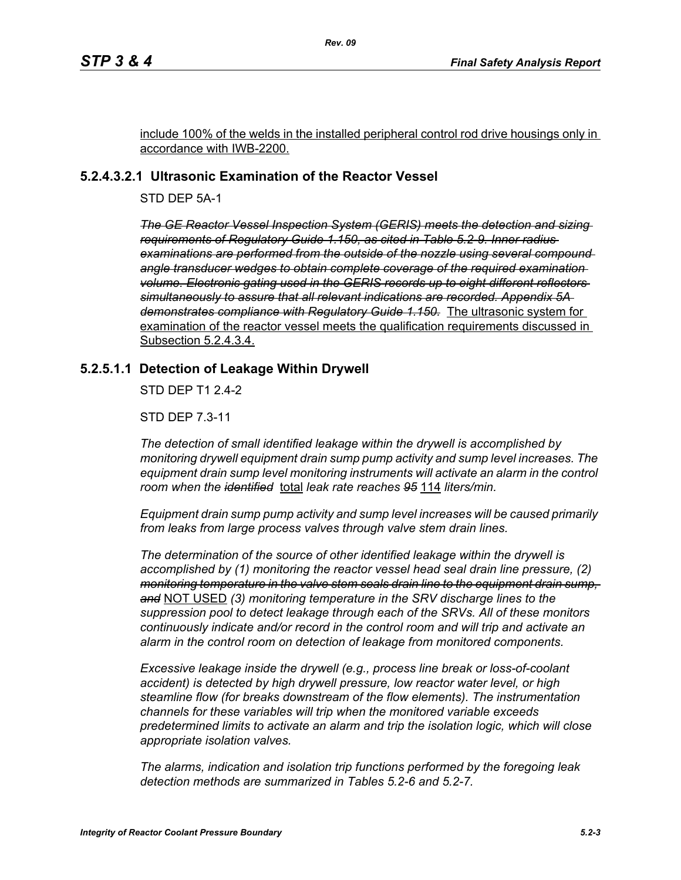include 100% of the welds in the installed peripheral control rod drive housings only in accordance with IWB-2200.

### **5.2.4.3.2.1 Ultrasonic Examination of the Reactor Vessel**

STD DEP 5A-1

*The GE Reactor Vessel Inspection System (GERIS) meets the detection and sizing requirements of Regulatory Guide 1.150, as cited in Table 5.2-9. Inner radius examinations are performed from the outside of the nozzle using several compound angle transducer wedges to obtain complete coverage of the required examination volume. Electronic gating used in the GERIS records up to eight different reflectors simultaneously to assure that all relevant indications are recorded. Appendix 5A demonstrates compliance with Regulatory Guide 1.150.* The ultrasonic system for examination of the reactor vessel meets the qualification requirements discussed in Subsection 5.2.4.3.4.

### **5.2.5.1.1 Detection of Leakage Within Drywell**

STD DEP T1 2.4-2

STD DEP 7.3-11

*The detection of small identified leakage within the drywell is accomplished by monitoring drywell equipment drain sump pump activity and sump level increases. The*  equipment drain sump level monitoring instruments will activate an alarm in the control *room when the identified* total *leak rate reaches 95* 114 *liters/min.*

*Equipment drain sump pump activity and sump level increases will be caused primarily from leaks from large process valves through valve stem drain lines.*

*The determination of the source of other identified leakage within the drywell is accomplished by (1) monitoring the reactor vessel head seal drain line pressure, (2) monitoring temperature in the valve stem seals drain line to the equipment drain sump, and* NOT USED *(3) monitoring temperature in the SRV discharge lines to the suppression pool to detect leakage through each of the SRVs. All of these monitors continuously indicate and/or record in the control room and will trip and activate an alarm in the control room on detection of leakage from monitored components.* 

*Excessive leakage inside the drywell (e.g., process line break or loss-of-coolant accident) is detected by high drywell pressure, low reactor water level, or high steamline flow (for breaks downstream of the flow elements). The instrumentation channels for these variables will trip when the monitored variable exceeds predetermined limits to activate an alarm and trip the isolation logic, which will close appropriate isolation valves.*

*The alarms, indication and isolation trip functions performed by the foregoing leak detection methods are summarized in Tables 5.2-6 and 5.2-7.*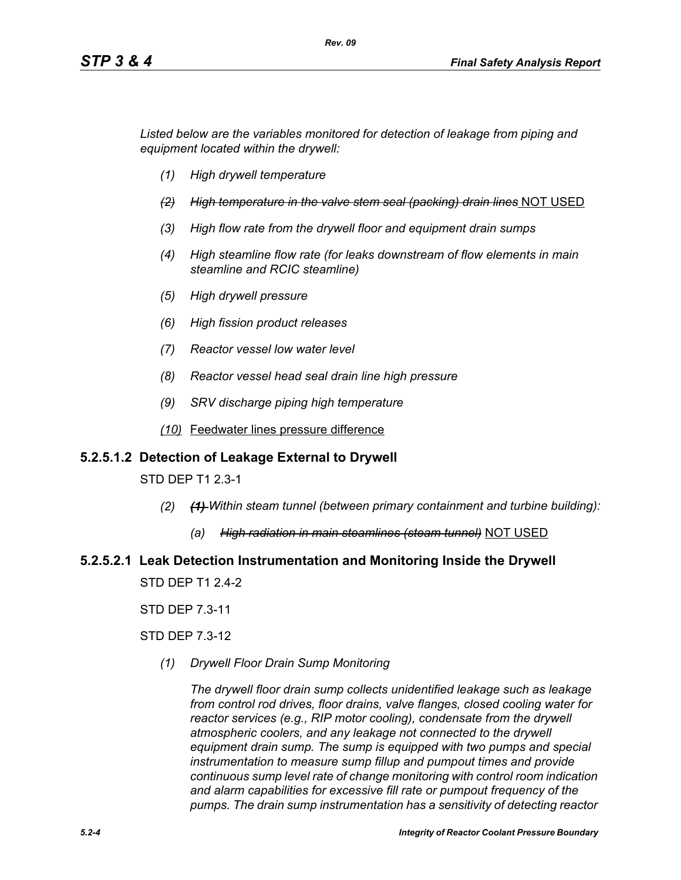*Listed below are the variables monitored for detection of leakage from piping and equipment located within the drywell:*

- *(1) High drywell temperature*
- *(2) High temperature in the valve stem seal (packing) drain lines* NOT USED
- *(3) High flow rate from the drywell floor and equipment drain sumps*
- *(4) High steamline flow rate (for leaks downstream of flow elements in main steamline and RCIC steamline)*
- *(5) High drywell pressure*
- *(6) High fission product releases*
- *(7) Reactor vessel low water level*
- *(8) Reactor vessel head seal drain line high pressure*
- *(9) SRV discharge piping high temperature*
- *(10)* Feedwater lines pressure difference

### **5.2.5.1.2 Detection of Leakage External to Drywell**

STD DEP T1 2.3-1

- *(2) (1) Within steam tunnel (between primary containment and turbine building):*
	- *(a) High radiation in main steamlines (steam tunnel)* NOT USED

# **5.2.5.2.1 Leak Detection Instrumentation and Monitoring Inside the Drywell**

STD DEP T1 2.4-2

STD DEP 7.3-11

STD DEP 7.3-12

*(1) Drywell Floor Drain Sump Monitoring*

*The drywell floor drain sump collects unidentified leakage such as leakage from control rod drives, floor drains, valve flanges, closed cooling water for reactor services (e.g., RIP motor cooling), condensate from the drywell atmospheric coolers, and any leakage not connected to the drywell equipment drain sump. The sump is equipped with two pumps and special instrumentation to measure sump fillup and pumpout times and provide continuous sump level rate of change monitoring with control room indication and alarm capabilities for excessive fill rate or pumpout frequency of the pumps. The drain sump instrumentation has a sensitivity of detecting reactor*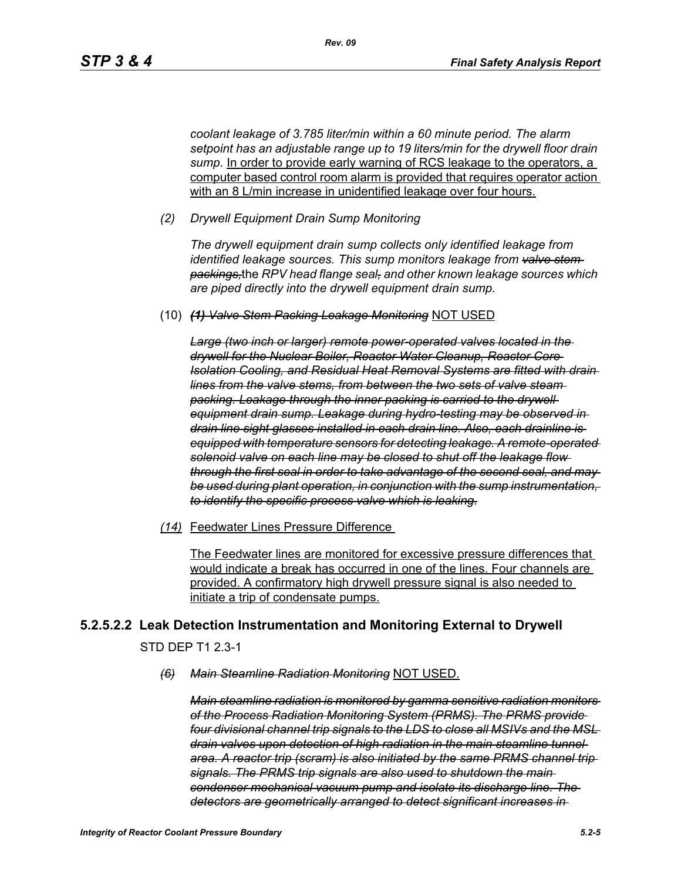*coolant leakage of 3.785 liter/min within a 60 minute period. The alarm setpoint has an adjustable range up to 19 liters/min for the drywell floor drain*  sump. In order to provide early warning of RCS leakage to the operators, a computer based control room alarm is provided that requires operator action with an 8 L/min increase in unidentified leakage over four hours.

*(2) Drywell Equipment Drain Sump Monitoring*

*The drywell equipment drain sump collects only identified leakage from identified leakage sources. This sump monitors leakage from valve stem packings,*the *RPV head flange seal, and other known leakage sources which are piped directly into the drywell equipment drain sump.*

(10) *(1) Valve Stem Packing Leakage Monitoring* NOT USED

*Large (two inch or larger) remote power-operated valves located in the drywell for the Nuclear Boiler, Reactor Water Cleanup, Reactor Core Isolation Cooling, and Residual Heat Removal Systems are fitted with drain lines from the valve stems, from between the two sets of valve steam packing. Leakage through the inner packing is carried to the drywell equipment drain sump. Leakage during hydro-testing may be observed in drain line sight glasses installed in each drain line. Also, each drainline is equipped with temperature sensors for detecting leakage. A remote-operated solenoid valve on each line may be closed to shut off the leakage flow through the first seal in order to take advantage of the second seal, and may be used during plant operation, in conjunction with the sump instrumentation, to identify the specific process valve which is leaking.*

*(14)* Feedwater Lines Pressure Difference

The Feedwater lines are monitored for excessive pressure differences that would indicate a break has occurred in one of the lines. Four channels are provided. A confirmatory high drywell pressure signal is also needed to initiate a trip of condensate pumps.

### **5.2.5.2.2 Leak Detection Instrumentation and Monitoring External to Drywell**

STD DEP T1 2.3-1

*(6) Main Steamline Radiation Monitoring* NOT USED.

*Main steamline radiation is monitored by gamma sensitive radiation monitors of the Process Radiation Monitoring System (PRMS). The PRMS provide four divisional channel trip signals to the LDS to close all MSIVs and the MSL drain valves upon detection of high radiation in the main steamline tunnel area. A reactor trip (scram) is also initiated by the same PRMS channel trip signals. The PRMS trip signals are also used to shutdown the main condenser mechanical vacuum pump and isolate its discharge line. The detectors are geometrically arranged to detect significant increases in*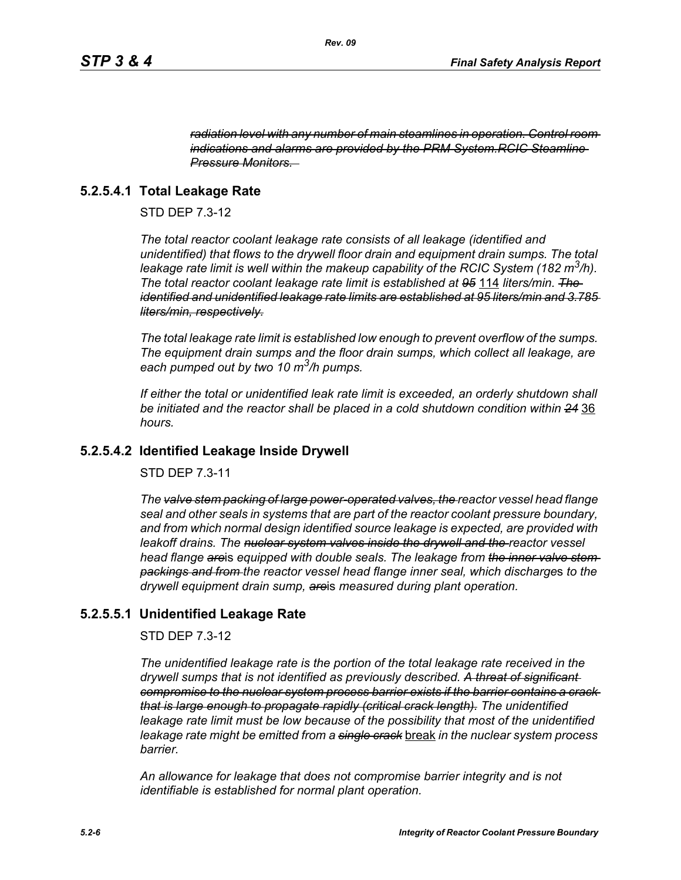*radiation level with any number of main steamlines in operation. Control room indications and alarms are provided by the PRM System.RCIC Steamline Pressure Monitors.* 

### **5.2.5.4.1 Total Leakage Rate**

STD DEP 7.3-12

*The total reactor coolant leakage rate consists of all leakage (identified and unidentified) that flows to the drywell floor drain and equipment drain sumps. The total leakage rate limit is well within the makeup capability of the RCIC System (182 m3/h). The total reactor coolant leakage rate limit is established at 95* 114 *liters/min. The identified and unidentified leakage rate limits are established at 95 liters/min and 3.785 liters/min, respectively.*

*The total leakage rate limit is established low enough to prevent overflow of the sumps. The equipment drain sumps and the floor drain sumps, which collect all leakage, are each pumped out by two 10 m3/h pumps.*

*If either the total or unidentified leak rate limit is exceeded, an orderly shutdown shall be initiated and the reactor shall be placed in a cold shutdown condition within 24* 36 *hours.*

### **5.2.5.4.2 Identified Leakage Inside Drywell**

STD DEP 7.3-11

*The valve stem packing of large power-operated valves, the reactor vessel head flange seal and other seals in systems that are part of the reactor coolant pressure boundary, and from which normal design identified source leakage is expected, are provided with leakoff drains. The nuclear system valves inside the drywell and the reactor vessel head flange are*is *equipped with double seals. The leakage from the inner valve stem packings and from the reactor vessel head flange inner seal, which discharge*s *to the drywell equipment drain sump, are*is *measured during plant operation.*

### **5.2.5.5.1 Unidentified Leakage Rate**

STD DEP 7.3-12

*The unidentified leakage rate is the portion of the total leakage rate received in the drywell sumps that is not identified as previously described. A threat of significant compromise to the nuclear system process barrier exists if the barrier contains a crack that is large enough to propagate rapidly (critical crack length). The unidentified leakage rate limit must be low because of the possibility that most of the unidentified leakage rate might be emitted from a single crack* break *in the nuclear system process barrier.*

*An allowance for leakage that does not compromise barrier integrity and is not identifiable is established for normal plant operation.*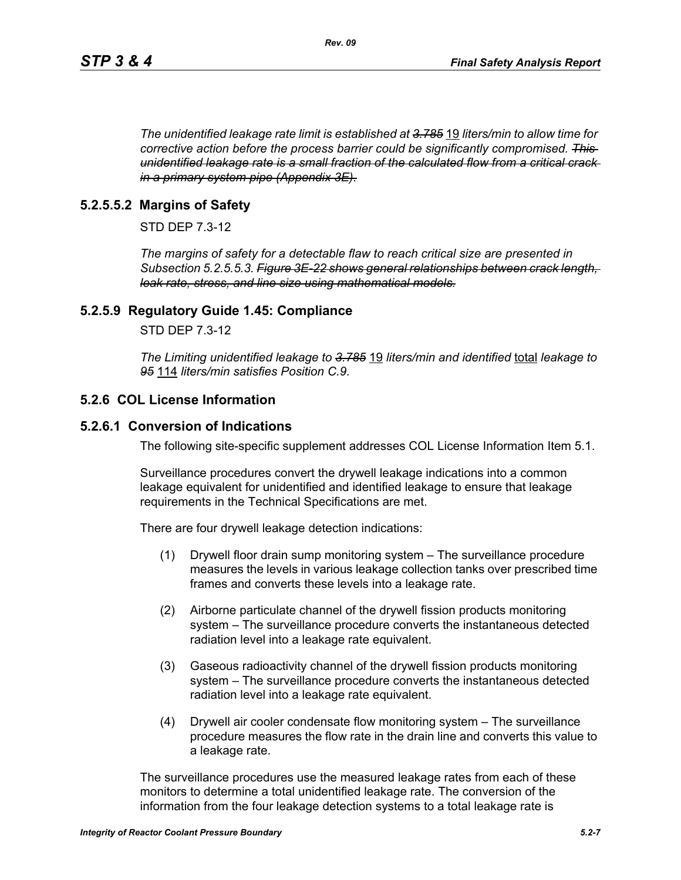*The unidentified leakage rate limit is established at 3.785* 19 *liters/min to allow time for corrective action before the process barrier could be significantly compromised. This unidentified leakage rate is a small fraction of the calculated flow from a critical crack in a primary system pipe (Appendix 3E).*

### **5.2.5.5.2 Margins of Safety**

STD DEP 7.3-12

*The margins of safety for a detectable flaw to reach critical size are presented in Subsection 5.2.5.5.3. Figure 3E-22 shows general relationships between crack length, leak rate, stress, and line size using mathematical models.*

### **5.2.5.9 Regulatory Guide 1.45: Compliance**

STD DEP 7.3-12

*The Limiting unidentified leakage to 3.785* 19 *liters/min and identified* total *leakage to 95* 114 *liters/min satisfies Position C.9.*

### **5.2.6 COL License Information**

### **5.2.6.1 Conversion of Indications**

The following site-specific supplement addresses COL License Information Item 5.1.

Surveillance procedures convert the drywell leakage indications into a common leakage equivalent for unidentified and identified leakage to ensure that leakage requirements in the Technical Specifications are met.

There are four drywell leakage detection indications:

- (1) Drywell floor drain sump monitoring system The surveillance procedure measures the levels in various leakage collection tanks over prescribed time frames and converts these levels into a leakage rate.
- (2) Airborne particulate channel of the drywell fission products monitoring system – The surveillance procedure converts the instantaneous detected radiation level into a leakage rate equivalent.
- (3) Gaseous radioactivity channel of the drywell fission products monitoring system – The surveillance procedure converts the instantaneous detected radiation level into a leakage rate equivalent.
- (4) Drywell air cooler condensate flow monitoring system The surveillance procedure measures the flow rate in the drain line and converts this value to a leakage rate.

The surveillance procedures use the measured leakage rates from each of these monitors to determine a total unidentified leakage rate. The conversion of the information from the four leakage detection systems to a total leakage rate is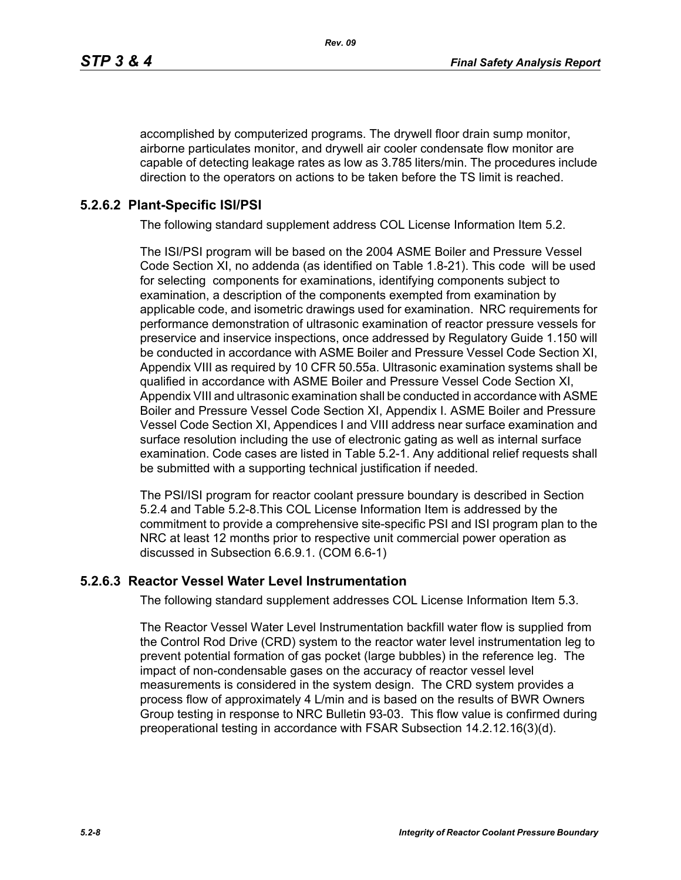accomplished by computerized programs. The drywell floor drain sump monitor, airborne particulates monitor, and drywell air cooler condensate flow monitor are capable of detecting leakage rates as low as 3.785 liters/min. The procedures include direction to the operators on actions to be taken before the TS limit is reached.

### **5.2.6.2 Plant-Specific ISI/PSI**

The following standard supplement address COL License Information Item 5.2.

The ISI/PSI program will be based on the 2004 ASME Boiler and Pressure Vessel Code Section XI, no addenda (as identified on Table 1.8-21). This code will be used for selecting components for examinations, identifying components subject to examination, a description of the components exempted from examination by applicable code, and isometric drawings used for examination. NRC requirements for performance demonstration of ultrasonic examination of reactor pressure vessels for preservice and inservice inspections, once addressed by Regulatory Guide 1.150 will be conducted in accordance with ASME Boiler and Pressure Vessel Code Section XI, Appendix VIII as required by 10 CFR 50.55a. Ultrasonic examination systems shall be qualified in accordance with ASME Boiler and Pressure Vessel Code Section XI, Appendix VIII and ultrasonic examination shall be conducted in accordance with ASME Boiler and Pressure Vessel Code Section XI, Appendix I. ASME Boiler and Pressure Vessel Code Section XI, Appendices I and VIII address near surface examination and surface resolution including the use of electronic gating as well as internal surface examination. Code cases are listed in Table 5.2-1. Any additional relief requests shall be submitted with a supporting technical justification if needed.

The PSI/ISI program for reactor coolant pressure boundary is described in Section 5.2.4 and Table 5.2-8.This COL License Information Item is addressed by the commitment to provide a comprehensive site-specific PSI and ISI program plan to the NRC at least 12 months prior to respective unit commercial power operation as discussed in Subsection 6.6.9.1. (COM 6.6-1)

### **5.2.6.3 Reactor Vessel Water Level Instrumentation**

The following standard supplement addresses COL License Information Item 5.3.

The Reactor Vessel Water Level Instrumentation backfill water flow is supplied from the Control Rod Drive (CRD) system to the reactor water level instrumentation leg to prevent potential formation of gas pocket (large bubbles) in the reference leg. The impact of non-condensable gases on the accuracy of reactor vessel level measurements is considered in the system design. The CRD system provides a process flow of approximately 4 L/min and is based on the results of BWR Owners Group testing in response to NRC Bulletin 93-03. This flow value is confirmed during preoperational testing in accordance with FSAR Subsection 14.2.12.16(3)(d).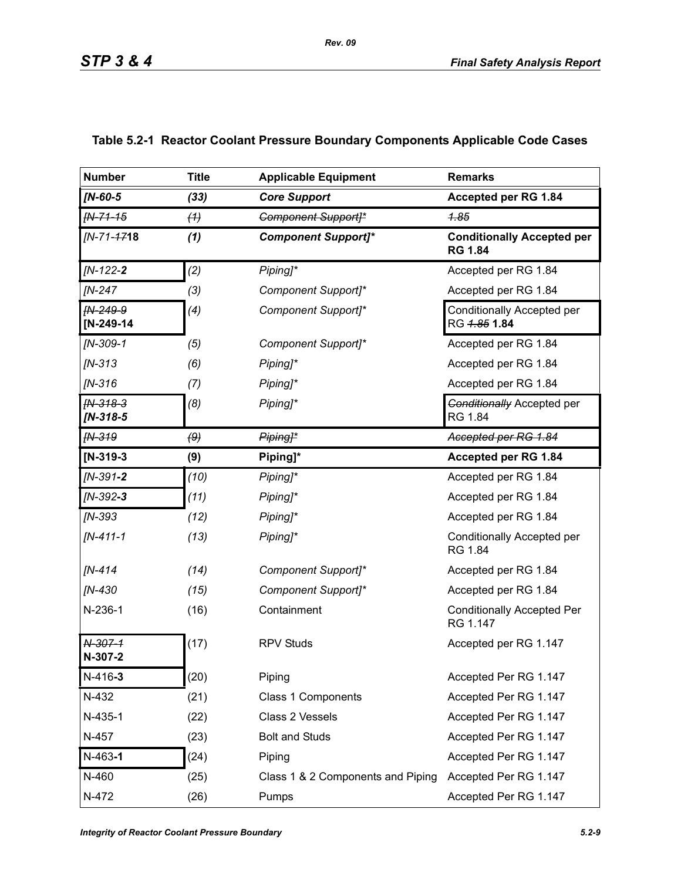| <b>Number</b>          | <b>Title</b> | <b>Applicable Equipment</b>       | <b>Remarks</b>                                      |
|------------------------|--------------|-----------------------------------|-----------------------------------------------------|
| $IN-60-5$              | (33)         | <b>Core Support</b>               | Accepted per RG 1.84                                |
| FN-71-15               | (4)          | <b>Component Support]*</b>        | 4.85                                                |
| [N-71-4718             | (1)          | <b>Component Support]*</b>        | <b>Conditionally Accepted per</b><br><b>RG 1.84</b> |
| [N-122-2               | (2)          | Piping]*                          | Accepted per RG 1.84                                |
| [N-247                 | (3)          | Component Support]*               | Accepted per RG 1.84                                |
| FN-249-9<br>[N-249-14  | (4)          | Component Support]*               | Conditionally Accepted per<br>RG 4.85 1.84          |
| [N-309-1               | (5)          | Component Support]*               | Accepted per RG 1.84                                |
| $IN-313$               | (6)          | Piping]*                          | Accepted per RG 1.84                                |
| [N-316                 | (7)          | Piping <sub>1</sub> *             | Accepted per RG 1.84                                |
| $fN-318-3$<br>[N-318-5 | (8)          | Piping]*                          | <b>Conditionally Accepted per</b><br>RG 1.84        |
| <b>FN-319</b>          | (9)          | Piping <sub>1</sub> *             | Accepted per RG 1.84                                |
| $[N-319-3]$            | (9)          | Piping]*                          | Accepted per RG 1.84                                |
| $IN-391-2$             | (10)         | Piping]*                          | Accepted per RG 1.84                                |
| [N-392-3               | (11)         | Piping]*                          | Accepted per RG 1.84                                |
| [N-393                 | (12)         | Piping]*                          | Accepted per RG 1.84                                |
| $IN-411-1$             | (13)         | Piping]*                          | Conditionally Accepted per<br>RG 1.84               |
| $IN-414$               | (14)         | Component Support]*               | Accepted per RG 1.84                                |
| [N-430                 | (15)         | Component Support]*               | Accepted per RG 1.84                                |
| N-236-1                | (16)         | Containment                       | <b>Conditionally Accepted Per</b><br>RG 1.147       |
| N-307-1<br>N-307-2     | (17)         | <b>RPV Studs</b>                  | Accepted per RG 1.147                               |
| $N-416-3$              | (20)         | Piping                            | Accepted Per RG 1.147                               |
| N-432                  | (21)         | Class 1 Components                | Accepted Per RG 1.147                               |
| N-435-1                | (22)         | Class 2 Vessels                   | Accepted Per RG 1.147                               |
| N-457                  | (23)         | <b>Bolt and Studs</b>             | Accepted Per RG 1.147                               |
| $N-463-1$              | (24)         | Piping                            | Accepted Per RG 1.147                               |
| N-460                  | (25)         | Class 1 & 2 Components and Piping | Accepted Per RG 1.147                               |
| N-472                  | (26)         | Pumps                             | Accepted Per RG 1.147                               |

## **Table 5.2-1 Reactor Coolant Pressure Boundary Components Applicable Code Cases**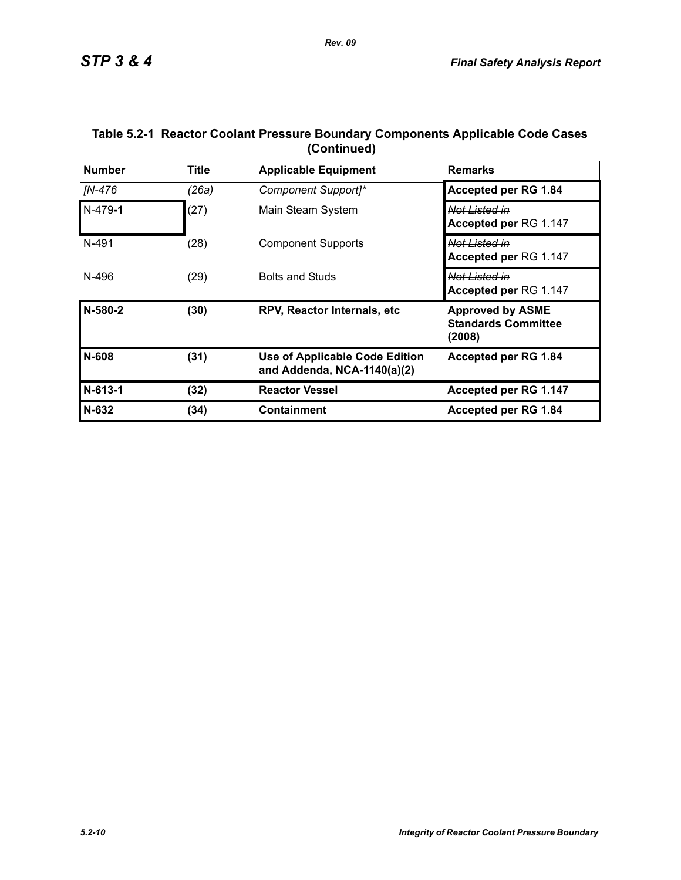| <b>Number</b> | <b>Title</b> | <b>Applicable Equipment</b>                                          | <b>Remarks</b>                                                  |
|---------------|--------------|----------------------------------------------------------------------|-----------------------------------------------------------------|
| [N-476        | (26a)        | Component Support]*                                                  | Accepted per RG 1.84                                            |
| $N-479-1$     | (27)         | Main Steam System                                                    | Not Listed in<br>Accepted per RG 1.147                          |
| N-491         | (28)         | <b>Component Supports</b>                                            | Not Listed in<br>Accepted per RG 1.147                          |
| N-496         | (29)         | <b>Bolts and Studs</b>                                               | Not Listed in<br>Accepted per RG 1.147                          |
| N-580-2       | (30)         | RPV, Reactor Internals, etc.                                         | <b>Approved by ASME</b><br><b>Standards Committee</b><br>(2008) |
| N-608         | (31)         | <b>Use of Applicable Code Edition</b><br>and Addenda, NCA-1140(a)(2) | Accepted per RG 1.84                                            |
| N-613-1       | (32)         | <b>Reactor Vessel</b>                                                | Accepted per RG 1.147                                           |
| $N-632$       | (34)         | <b>Containment</b>                                                   | Accepted per RG 1.84                                            |

### **Table 5.2-1 Reactor Coolant Pressure Boundary Components Applicable Code Cases (Continued)**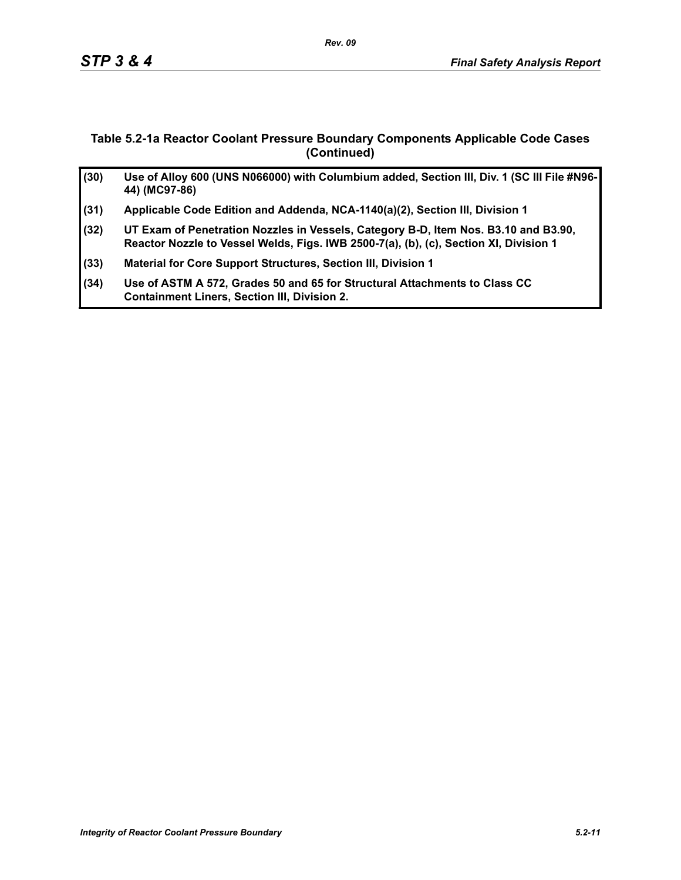### **Table 5.2-1a Reactor Coolant Pressure Boundary Components Applicable Code Cases (Continued)**

| (30) | Use of Alloy 600 (UNS N066000) with Columbium added, Section III, Div. 1 (SC III File #N96-<br>44) (MC97-86)                                                                 |
|------|------------------------------------------------------------------------------------------------------------------------------------------------------------------------------|
| (31) | Applicable Code Edition and Addenda, NCA-1140(a)(2), Section III, Division 1                                                                                                 |
| (32) | UT Exam of Penetration Nozzles in Vessels, Category B-D, Item Nos. B3.10 and B3.90,<br>Reactor Nozzle to Vessel Welds, Figs. IWB 2500-7(a), (b), (c), Section XI, Division 1 |
| (33) | Material for Core Support Structures, Section III, Division 1                                                                                                                |
| (34) | Use of ASTM A 572, Grades 50 and 65 for Structural Attachments to Class CC<br><b>Containment Liners, Section III, Division 2.</b>                                            |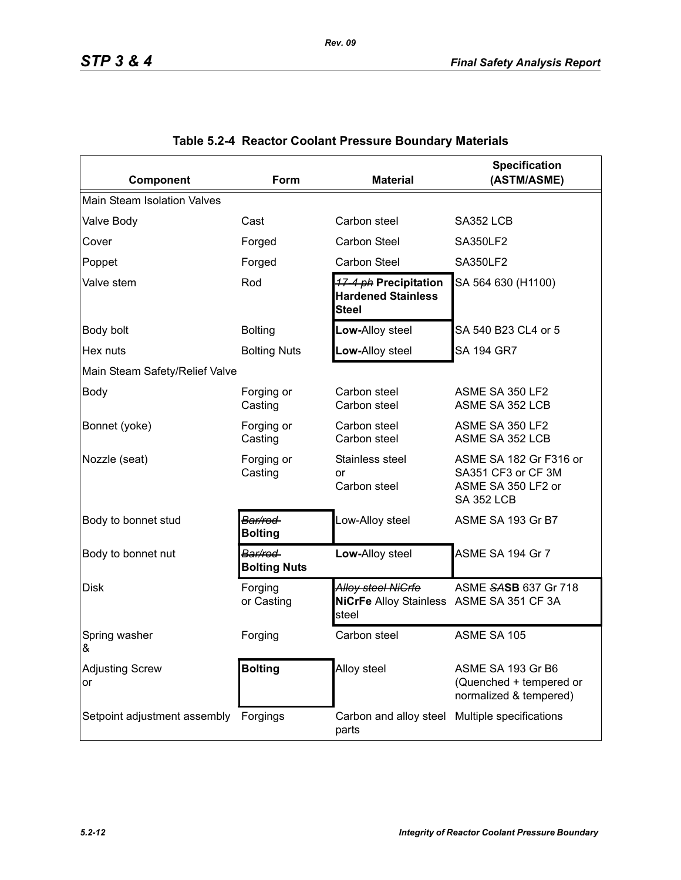| Component                      | <b>Form</b>                     | <b>Material</b>                                                         | <b>Specification</b><br>(ASTM/ASME)                                                     |  |  |  |  |  |  |  |
|--------------------------------|---------------------------------|-------------------------------------------------------------------------|-----------------------------------------------------------------------------------------|--|--|--|--|--|--|--|
| Main Steam Isolation Valves    |                                 |                                                                         |                                                                                         |  |  |  |  |  |  |  |
| Valve Body                     | Cast                            | Carbon steel                                                            | SA352 LCB                                                                               |  |  |  |  |  |  |  |
| Cover                          | Forged                          | Carbon Steel                                                            | <b>SA350LF2</b>                                                                         |  |  |  |  |  |  |  |
| Poppet                         | Forged                          | <b>Carbon Steel</b>                                                     | <b>SA350LF2</b>                                                                         |  |  |  |  |  |  |  |
| Valve stem                     | Rod                             | 17-4 ph Precipitation<br><b>Hardened Stainless</b><br><b>Steel</b>      | SA 564 630 (H1100)                                                                      |  |  |  |  |  |  |  |
| Body bolt                      | <b>Bolting</b>                  | Low-Alloy steel                                                         | SA 540 B23 CL4 or 5                                                                     |  |  |  |  |  |  |  |
| Hex nuts                       | <b>Bolting Nuts</b>             | Low-Alloy steel                                                         | SA 194 GR7                                                                              |  |  |  |  |  |  |  |
| Main Steam Safety/Relief Valve |                                 |                                                                         |                                                                                         |  |  |  |  |  |  |  |
| <b>Body</b>                    | Forging or<br>Casting           | Carbon steel<br>Carbon steel                                            | ASME SA 350 LF2<br>ASME SA 352 LCB                                                      |  |  |  |  |  |  |  |
| Bonnet (yoke)                  | Forging or<br>Casting           | Carbon steel<br>Carbon steel                                            | ASME SA 350 LF2<br>ASME SA 352 LCB                                                      |  |  |  |  |  |  |  |
| Nozzle (seat)                  | Forging or<br>Casting           | Stainless steel<br>or<br>Carbon steel                                   | ASME SA 182 Gr F316 or<br>SA351 CF3 or CF 3M<br>ASME SA 350 LF2 or<br><b>SA 352 LCB</b> |  |  |  |  |  |  |  |
| Body to bonnet stud            | Bar/rod<br><b>Bolting</b>       | Low-Alloy steel                                                         | ASME SA 193 Gr B7                                                                       |  |  |  |  |  |  |  |
| Body to bonnet nut             | Bar/rod-<br><b>Bolting Nuts</b> | Low-Alloy steel                                                         | ASME SA 194 Gr 7                                                                        |  |  |  |  |  |  |  |
| <b>Disk</b>                    | Forging<br>or Casting           | Alloy steel NiGrfe<br>NiCrFe Alloy Stainless ASME SA 351 CF 3A<br>steel | ASME SASB 637 Gr 718                                                                    |  |  |  |  |  |  |  |
| Spring washer<br>&             | Forging                         | Carbon steel                                                            | ASME SA 105                                                                             |  |  |  |  |  |  |  |
| <b>Adjusting Screw</b><br>or   | <b>Bolting</b>                  | Alloy steel                                                             | ASME SA 193 Gr B6<br>(Quenched + tempered or<br>normalized & tempered)                  |  |  |  |  |  |  |  |
| Setpoint adjustment assembly   | Forgings                        | Carbon and alloy steel<br>parts                                         | Multiple specifications                                                                 |  |  |  |  |  |  |  |

### **Table 5.2-4 Reactor Coolant Pressure Boundary Materials**

*Rev. 09*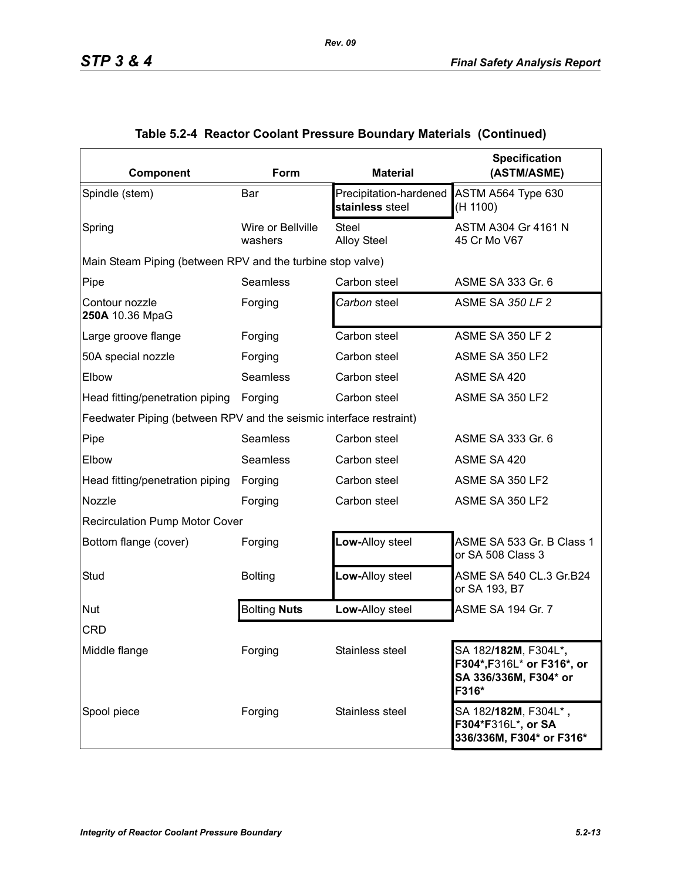| Component                                                          | Form                         | <b>Material</b>                           | <b>Specification</b><br>(ASTM/ASME)                                                                   |
|--------------------------------------------------------------------|------------------------------|-------------------------------------------|-------------------------------------------------------------------------------------------------------|
| Spindle (stem)                                                     | Bar                          | Precipitation-hardened<br>stainless steel | ASTM A564 Type 630<br>(H 1100)                                                                        |
| Spring                                                             | Wire or Bellville<br>washers | <b>Steel</b><br><b>Alloy Steel</b>        | ASTM A304 Gr 4161 N<br>45 Cr Mo V67                                                                   |
| Main Steam Piping (between RPV and the turbine stop valve)         |                              |                                           |                                                                                                       |
| Pipe                                                               | Seamless                     | Carbon steel                              | ASME SA 333 Gr. 6                                                                                     |
| Contour nozzle<br>250A 10.36 MpaG                                  | Forging                      | Carbon steel                              | <b>ASME SA 350 LF 2</b>                                                                               |
| Large groove flange                                                | Forging                      | Carbon steel                              | <b>ASME SA 350 LF 2</b>                                                                               |
| 50A special nozzle                                                 | Forging                      | Carbon steel                              | ASME SA 350 LF2                                                                                       |
| Elbow                                                              | Seamless                     | Carbon steel                              | ASME SA 420                                                                                           |
| Head fitting/penetration piping                                    | Forging                      | Carbon steel                              | ASME SA 350 LF2                                                                                       |
| Feedwater Piping (between RPV and the seismic interface restraint) |                              |                                           |                                                                                                       |
| Pipe                                                               | <b>Seamless</b>              | Carbon steel                              | ASME SA 333 Gr. 6                                                                                     |
| Elbow                                                              | <b>Seamless</b>              | Carbon steel                              | ASME SA 420                                                                                           |
| Head fitting/penetration piping                                    | Forging                      | Carbon steel                              | ASME SA 350 LF2                                                                                       |
| Nozzle                                                             | Forging                      | Carbon steel                              | ASME SA 350 LF2                                                                                       |
| <b>Recirculation Pump Motor Cover</b>                              |                              |                                           |                                                                                                       |
| Bottom flange (cover)                                              | Forging                      | Low-Alloy steel                           | ASME SA 533 Gr. B Class 1<br>or SA 508 Class 3                                                        |
| Stud                                                               | <b>Bolting</b>               | Low-Alloy steel                           | ASME SA 540 CL.3 Gr.B24<br>or SA 193, B7                                                              |
| Nut                                                                | <b>Bolting Nuts</b>          | Low-Alloy steel                           | ASME SA 194 Gr. 7                                                                                     |
| <b>CRD</b>                                                         |                              |                                           |                                                                                                       |
| Middle flange                                                      | Forging                      | Stainless steel                           | SA 182/ <b>182M</b> , F304L* <b>,</b><br>F304*, F316L* or F316*, or<br>SA 336/336M, F304* or<br>F316* |
| Spool piece                                                        | Forging                      | Stainless steel                           | SA 182/182M, F304L*,<br>F304*F316L*, or SA<br>336/336M, F304* or F316*                                |

### **Table 5.2-4 Reactor Coolant Pressure Boundary Materials (Continued)**

*Rev. 09*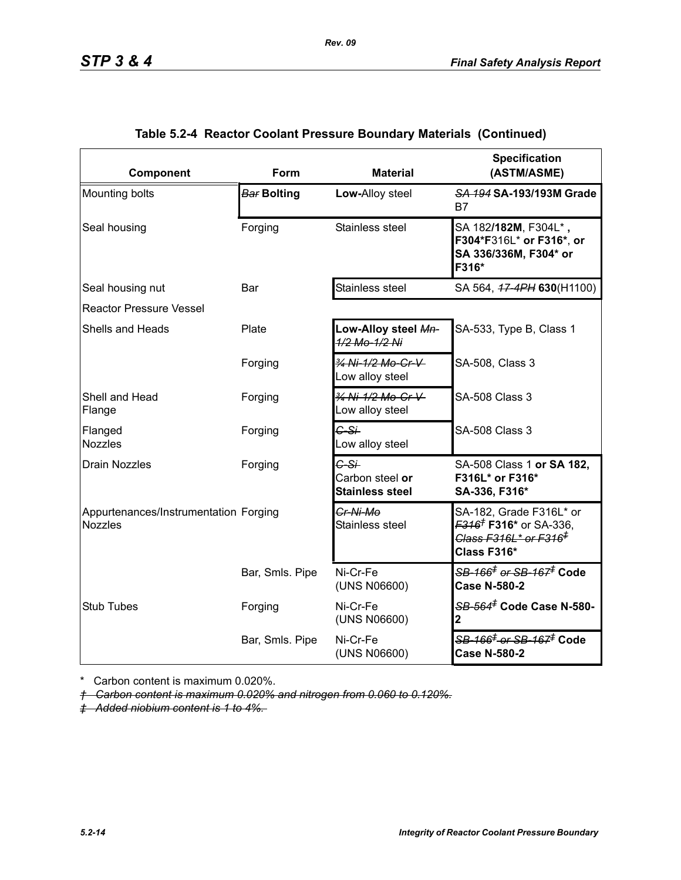| Component                                               | Form            | <b>Material</b>                                     | <b>Specification</b><br>(ASTM/ASME)                                                                                                          |
|---------------------------------------------------------|-----------------|-----------------------------------------------------|----------------------------------------------------------------------------------------------------------------------------------------------|
| Mounting bolts                                          | Bar Bolting     | Low-Alloy steel                                     | SA 194 SA-193/193M Grade<br>B7                                                                                                               |
| Seal housing                                            | Forging         | Stainless steel                                     | SA 182/182M, F304L*,<br>F304*F316L* or F316*, or<br>SA 336/336M, F304* or<br>F316*                                                           |
| Seal housing nut                                        | Bar             | Stainless steel                                     | SA 564, 47-4PH 630(H1100)                                                                                                                    |
| <b>Reactor Pressure Vessel</b>                          |                 |                                                     |                                                                                                                                              |
| Shells and Heads                                        | Plate           | Low-Alloy steel Mn-<br>1/2 Mo-1/2 Ni                | SA-533, Type B, Class 1                                                                                                                      |
|                                                         | Forging         | 34 Ni-1/2 Mo-Cr-V<br>Low alloy steel                | SA-508, Class 3                                                                                                                              |
| Shell and Head<br>Flange                                | Forging         | 34 Ni-1/2 Mo-Cr-V<br>Low alloy steel                | <b>SA-508 Class 3</b>                                                                                                                        |
| Flanged<br><b>Nozzles</b>                               | Forging         | $G-SI$<br>Low alloy steel                           | <b>SA-508 Class 3</b>                                                                                                                        |
| <b>Drain Nozzles</b>                                    | Forging         | $C-Si$<br>Carbon steel or<br><b>Stainless steel</b> | SA-508 Class 1 or SA 182,<br>F316L* or F316*<br>SA-336, F316*                                                                                |
| Appurtenances/Instrumentation Forging<br><b>Nozzles</b> |                 | Cr-Ni-Mo<br>Stainless steel                         | SA-182, Grade F316L* or<br><del><i>F316<sup>†</sup> F316*</i> or SA-336,</del><br><del>Class F316L* or F316<sup>‡</sup></del><br>Class F316* |
|                                                         | Bar, Smls. Pipe | Ni-Cr-Fe<br>(UNS N06600)                            | $\overline{\text{SB-}166}^\ddag$ or SB-167 $^\ddag$ Code<br><b>Case N-580-2</b>                                                              |
| <b>Stub Tubes</b>                                       | Forging         | Ni-Cr-Fe<br>(UNS N06600)                            | <del>SB-564<sup>≢</sup> Code Case N-580-</del><br>2                                                                                          |
|                                                         | Bar, Smls. Pipe | Ni-Cr-Fe<br>(UNS N06600)                            | <del>SB 166<sup>≢</sup> or SB 167<sup>≢</sup> Code</del><br><b>Case N-580-2</b>                                                              |

### **Table 5.2-4 Reactor Coolant Pressure Boundary Materials (Continued)**

*Rev. 09*

\* Carbon content is maximum 0.020%.

*† Carbon content is maximum 0.020% and nitrogen from 0.060 to 0.120%.*

*‡ Added niobium content is 1 to 4%.*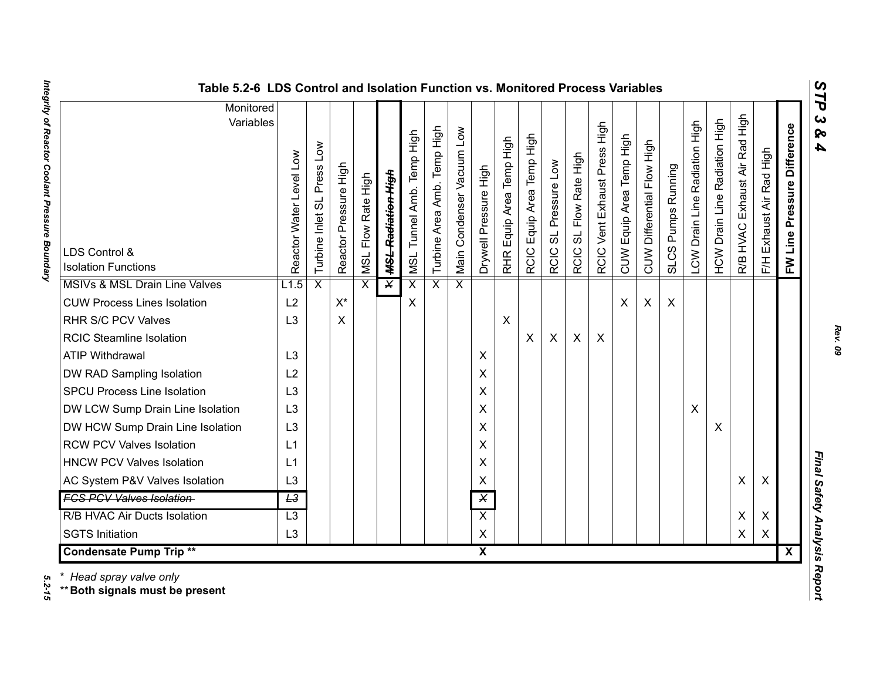| ທ |
|---|
| ⊣ |
| d |
| ట |
| ശ |
| 4 |

| Table 5.2-6 LDS Control and Isolation Function vs. Monitored Process Variables |                            |                            |                       |                              |                               |                           |                                   |                           |                         |                                    |                                |                                |                                  |                              |                          |                            |                                    |                               |                                         |                                     |                          |                                |                              |
|--------------------------------------------------------------------------------|----------------------------|----------------------------|-----------------------|------------------------------|-------------------------------|---------------------------|-----------------------------------|---------------------------|-------------------------|------------------------------------|--------------------------------|--------------------------------|----------------------------------|------------------------------|--------------------------|----------------------------|------------------------------------|-------------------------------|-----------------------------------------|-------------------------------------|--------------------------|--------------------------------|------------------------------|
| Monitored<br>Variables<br>LDS Control &<br><b>Isolation Functions</b>          | Level Low<br>Reactor Water | Turbine Inlet SL Press Low | Reactor Pressure High | Flow Rate High<br><b>ISN</b> | <del>MSL Radiation High</del> | MSL Tunnel Amb. Temp High | Temp High<br>Amb.<br>Turbine Area | Main Condenser Vacuum Low | Drywell Pressure High   | Equip Area Temp High<br><b>RHR</b> | Equip Area Temp High<br>RCIC I | SL Pressure Low<br><b>RCIC</b> | SL Flow Rate High<br><b>RCIC</b> | RCIC Vent Exhaust Press High | CUW Equip Area Temp High | CUW Differential Flow High | Pumps Running<br>SLCS <sub>I</sub> | LCW Drain Line Radiation High | Radiation High<br><b>HCW Drain Line</b> | High<br>Exhaust Air Rad<br>R/B HVAC | F/H Exhaust Air Rad High | Pressure Difference<br>FW Line | $\mathbf{c}$<br>ନ୍<br>4      |
| MSIVs & MSL Drain Line Valves                                                  | L1.5                       | $\overline{\mathsf{x}}$    |                       | $\overline{\mathsf{x}}$      | $\overline{\mathsf{x}}$       | $\overline{\mathsf{x}}$   | $\overline{\mathsf{x}}$           | $\overline{\mathsf{x}}$   |                         |                                    |                                |                                |                                  |                              |                          |                            |                                    |                               |                                         |                                     |                          |                                |                              |
| <b>CUW Process Lines Isolation</b>                                             | L2                         |                            | $X^*$                 |                              |                               | X                         |                                   |                           |                         |                                    |                                |                                |                                  |                              | X                        | X                          | $\boldsymbol{\mathsf{X}}$          |                               |                                         |                                     |                          |                                |                              |
| RHR S/C PCV Valves                                                             | L3                         |                            | X                     |                              |                               |                           |                                   |                           |                         | $\boldsymbol{\mathsf{X}}$          |                                |                                |                                  |                              |                          |                            |                                    |                               |                                         |                                     |                          |                                |                              |
| <b>RCIC Steamline Isolation</b>                                                |                            |                            |                       |                              |                               |                           |                                   |                           |                         |                                    | X                              | $\pmb{\times}$                 | X                                | $\boldsymbol{\mathsf{X}}$    |                          |                            |                                    |                               |                                         |                                     |                          |                                |                              |
| <b>ATIP Withdrawal</b>                                                         | L <sub>3</sub>             |                            |                       |                              |                               |                           |                                   |                           | X                       |                                    |                                |                                |                                  |                              |                          |                            |                                    |                               |                                         |                                     |                          |                                |                              |
| DW RAD Sampling Isolation                                                      | L2                         |                            |                       |                              |                               |                           |                                   |                           | X                       |                                    |                                |                                |                                  |                              |                          |                            |                                    |                               |                                         |                                     |                          |                                |                              |
| <b>SPCU Process Line Isolation</b>                                             | L <sub>3</sub>             |                            |                       |                              |                               |                           |                                   |                           | X                       |                                    |                                |                                |                                  |                              |                          |                            |                                    |                               |                                         |                                     |                          |                                |                              |
| DW LCW Sump Drain Line Isolation                                               | L <sub>3</sub>             |                            |                       |                              |                               |                           |                                   |                           | X                       |                                    |                                |                                |                                  |                              |                          |                            |                                    | $\boldsymbol{\mathsf{X}}$     |                                         |                                     |                          |                                |                              |
| DW HCW Sump Drain Line Isolation                                               | L <sub>3</sub>             |                            |                       |                              |                               |                           |                                   |                           | X                       |                                    |                                |                                |                                  |                              |                          |                            |                                    |                               | X                                       |                                     |                          |                                |                              |
| <b>RCW PCV Valves Isolation</b>                                                | L1                         |                            |                       |                              |                               |                           |                                   |                           | X                       |                                    |                                |                                |                                  |                              |                          |                            |                                    |                               |                                         |                                     |                          |                                |                              |
| <b>HNCW PCV Valves Isolation</b>                                               | L1                         |                            |                       |                              |                               |                           |                                   |                           | X                       |                                    |                                |                                |                                  |                              |                          |                            |                                    |                               |                                         |                                     |                          |                                |                              |
| AC System P&V Valves Isolation                                                 | L <sub>3</sub>             |                            |                       |                              |                               |                           |                                   |                           | X                       |                                    |                                |                                |                                  |                              |                          |                            |                                    |                               |                                         | X                                   | X                        |                                | Final Safety Analysis Report |
| <b>FCS PCV Valves Isolation</b>                                                | L3                         |                            |                       |                              |                               |                           |                                   |                           | $\overline{\mathsf{x}}$ |                                    |                                |                                |                                  |                              |                          |                            |                                    |                               |                                         |                                     |                          |                                |                              |
| R/B HVAC Air Ducts Isolation                                                   | $\overline{L3}$            |                            |                       |                              |                               |                           |                                   |                           | $\overline{X}$          |                                    |                                |                                |                                  |                              |                          |                            |                                    |                               |                                         | X                                   | X                        |                                |                              |
| <b>SGTS Initiation</b>                                                         | L3                         |                            |                       |                              |                               |                           |                                   |                           | $\pmb{\times}$          |                                    |                                |                                |                                  |                              |                          |                            |                                    |                               |                                         | X                                   | $\pmb{\times}$           |                                |                              |
| <b>Condensate Pump Trip **</b>                                                 |                            |                            |                       |                              |                               |                           |                                   |                           | $\overline{\mathbf{x}}$ |                                    |                                |                                |                                  |                              |                          |                            |                                    |                               |                                         |                                     |                          | $\overline{\mathbf{X}}$        |                              |

Integrity of Reactor Coolant Pressure Boundary *Integrity of Reactor Coolant Pressure Boundary 5.2-15*

5.2-15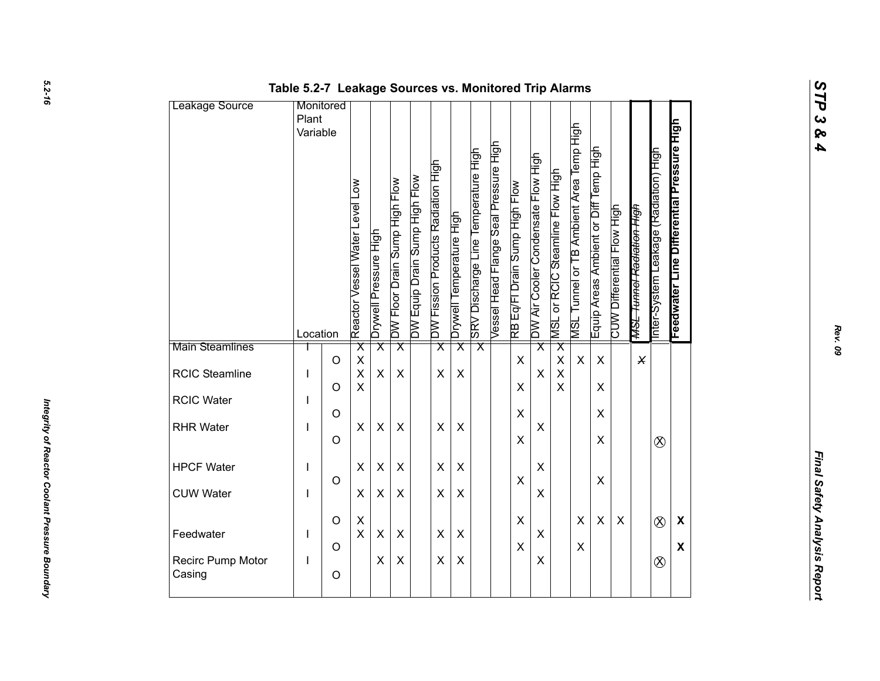| Leakage Source              | Table 5.2-7 Leakage Sources vs. Monitored Trip Alarms<br>Monitored |                    |                                                    |                         |                               |                               |                                    |                          |                                     |                                       |                               |                                    |                                 |                                         |                                       |                            |                                      |                                       |                                           |  |
|-----------------------------|--------------------------------------------------------------------|--------------------|----------------------------------------------------|-------------------------|-------------------------------|-------------------------------|------------------------------------|--------------------------|-------------------------------------|---------------------------------------|-------------------------------|------------------------------------|---------------------------------|-----------------------------------------|---------------------------------------|----------------------------|--------------------------------------|---------------------------------------|-------------------------------------------|--|
|                             | Plant<br>Variable                                                  |                    | Reactor Vessel Water Level Low                     | Drywell Pressure High   | DW Floor Drain Sump High Flow | DW Equip Drain Sump High Flow | DW Fission Products Radiation High | Drywell Temperature High | SRV Discharge Line Temperature High | Vessel Head Flange Seal Pressure High | RB Eq/Fl Drain Sump High Flow | DW Air Cooler Condensate Flow High | MSL or RCIC Steamline Flow High | MSL Tunnel or TB Ambient Area Temp High | Equip Areas Ambient or Diff Temp High | CUW Differential Flow High | <del>MSL Tunnel Radiation High</del> | Inter-System Leakage (Radiation) High | Feedwater Line Differential Pressure High |  |
| Main Steamlines             | Location                                                           |                    | $\overline{\mathsf{x}}$                            | $\overline{\mathsf{x}}$ | $\overline{\mathsf{x}}$       |                               | $\overline{\mathsf{x}}$            | $\overline{\mathsf{x}}$  | $\overline{\mathsf{x}}$             |                                       |                               | $\overline{\mathsf{x}}$            | $\overline{\mathsf{x}}$         |                                         |                                       |                            |                                      |                                       |                                           |  |
| RCIC Steamline              | I                                                                  | $\circ$<br>$\circ$ | $\pmb{\mathsf{X}}$<br>$\mathsf{X}$<br>$\mathsf{X}$ | X                       | X                             |                               | X                                  | $\pmb{\times}$           |                                     |                                       | $\mathsf{X}$<br>X             | X                                  | $\pmb{\times}$<br>$\sf X$<br>X  | $\boldsymbol{\mathsf{X}}$               | $\pmb{\times}$<br>$\pmb{\times}$      |                            | $\times$                             |                                       |                                           |  |
| RCIC Water                  |                                                                    | $\circ$            |                                                    |                         |                               |                               |                                    |                          |                                     |                                       | $\pmb{\times}$                |                                    |                                 |                                         | $\pmb{\times}$                        |                            |                                      |                                       |                                           |  |
| <b>RHR Water</b>            |                                                                    | $\circ$            | X                                                  | $\pmb{\times}$          | X                             |                               | $\pmb{\times}$                     | $\pmb{\times}$           |                                     |                                       | X                             | X                                  |                                 |                                         | $\pmb{\times}$                        |                            |                                      | $\otimes$                             |                                           |  |
| <b>HPCF Water</b>           | I.                                                                 |                    | $\pmb{\times}$                                     | X                       | $\pmb{\times}$                |                               | $\pmb{\times}$                     | X                        |                                     |                                       |                               | X                                  |                                 |                                         |                                       |                            |                                      |                                       |                                           |  |
| <b>CUW Water</b>            | I                                                                  | $\circ$            | $\pmb{\times}$                                     | X                       | $\pmb{\times}$                |                               | X                                  | X                        |                                     |                                       | X                             | X                                  |                                 |                                         | $\mathsf X$                           |                            |                                      |                                       |                                           |  |
| Feedwater                   | L                                                                  | $\circ$            | $\mathsf X$<br>$\mathsf X$                         | $\pmb{\times}$          | X                             |                               | $\pmb{\times}$                     | $\pmb{\times}$           |                                     |                                       | $\mathsf X$                   | $\pmb{\times}$                     |                                 | $\pmb{\times}$                          | $\pmb{\times}$                        | $\pmb{\times}$             |                                      | $\otimes$                             | $\boldsymbol{\mathsf{X}}$                 |  |
| Recirc Pump Motor<br>Casing | L                                                                  | $\circ$<br>$\circ$ |                                                    | X                       | $\pmb{\times}$                |                               | $\pmb{\times}$                     | $\pmb{\times}$           |                                     |                                       | $\mathsf X$                   | X                                  |                                 | $\pmb{\times}$                          |                                       |                            |                                      | $\otimes$                             | $\boldsymbol{\mathsf{X}}$                 |  |
|                             |                                                                    |                    |                                                    |                         |                               |                               |                                    |                          |                                     |                                       |                               |                                    |                                 |                                         |                                       |                            |                                      |                                       |                                           |  |

*Rev. 09*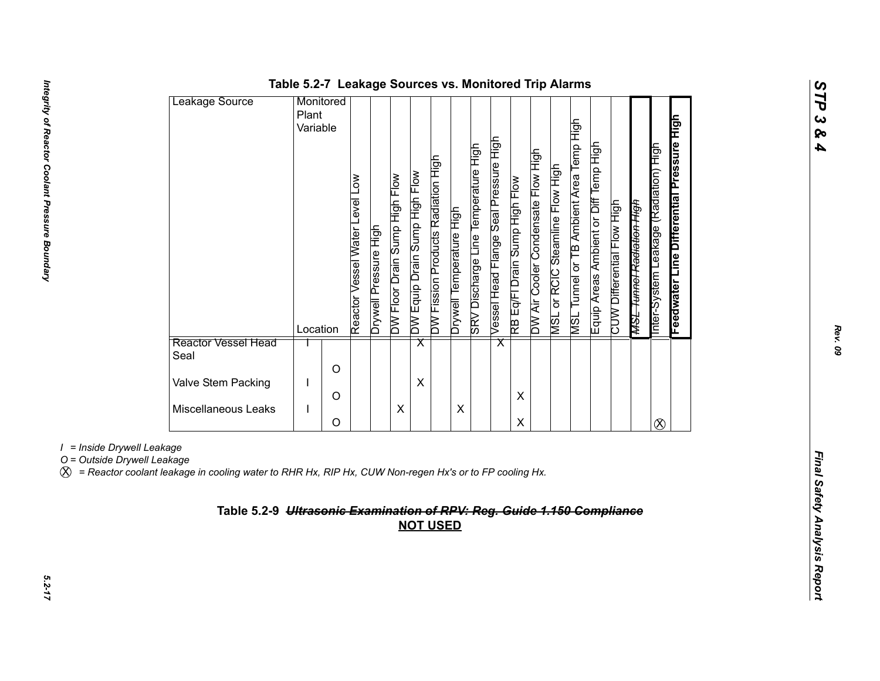| Leakage Source              | Monitored |        |                                                |                          |                               |                               |                                    |                          |                                     |                                       |                               |                                    |                                    |                                                   |                                       |                            |                                      |                                         |                                           |
|-----------------------------|-----------|--------|------------------------------------------------|--------------------------|-------------------------------|-------------------------------|------------------------------------|--------------------------|-------------------------------------|---------------------------------------|-------------------------------|------------------------------------|------------------------------------|---------------------------------------------------|---------------------------------------|----------------------------|--------------------------------------|-----------------------------------------|-------------------------------------------|
|                             | Plant     |        |                                                |                          |                               |                               |                                    |                          |                                     |                                       |                               |                                    |                                    |                                                   |                                       |                            |                                      |                                         |                                           |
|                             | Variable  |        |                                                |                          |                               |                               |                                    |                          |                                     |                                       |                               |                                    |                                    |                                                   |                                       |                            |                                      |                                         |                                           |
|                             | Location  |        | $\sum_{i=1}^{n}$<br>Reactor Vessel Water Level | Pressure High<br>lləwAld | DW Floor Drain Sump High Flow | DW Equip Drain Sump High Flow | DW Fission Products Radiation High | Drywell Temperature High | SRV Discharge Line Temperature High | Vessel Head Flange Seal Pressure High | RB Eq/FI Drain Sump High Flow | DW Air Cooler Condensate Flow High | or RCIC Steamline Flow High<br>NSL | Tunnel or TB Ambient Area Temp High<br><b>TSN</b> | Equip Areas Ambient or Diff Temp High | CUW Differential Flow High | <del>MSL Tunnel Radiation High</del> | (Radiation) High<br>nter-System Leakage | Feedwater Line Differential Pressure High |
| Reactor Vessel Head<br>Seal |           |        |                                                |                          |                               | $\overline{\mathsf{x}}$       |                                    |                          |                                     | $\overline{\mathsf{x}}$               |                               |                                    |                                    |                                                   |                                       |                            |                                      |                                         |                                           |
|                             |           | O      |                                                |                          |                               |                               |                                    |                          |                                     |                                       |                               |                                    |                                    |                                                   |                                       |                            |                                      |                                         |                                           |
| Valve Stem Packing          |           |        |                                                |                          |                               | X                             |                                    |                          |                                     |                                       |                               |                                    |                                    |                                                   |                                       |                            |                                      |                                         |                                           |
| Miscellaneous Leaks         |           | Ω<br>O |                                                |                          | Χ                             |                               |                                    | X                        |                                     |                                       | X<br>X                        |                                    |                                    |                                                   |                                       |                            |                                      | $\infty$                                |                                           |
|                             |           |        |                                                |                          |                               |                               |                                    |                          |                                     |                                       |                               |                                    |                                    |                                                   |                                       |                            |                                      |                                         |                                           |

### **Table 5.2-7 Leakage Sources vs. Monitored Trip Alarms**

*I = Inside Drywell Leakage*

X *= Reactor coolant leakage in cooling water to RHR Hx, RIP Hx, CUW Non-regen Hx's or to FP cooling Hx.*

# *Final Safety Analysis Reportion Computer Computer Computer Computer Computer Computer Computer Computer Computer Computer of Computer of Computer Computer Computer Computer Computer Computer Computer Computer Computer Com*

*STP 3 & 4*